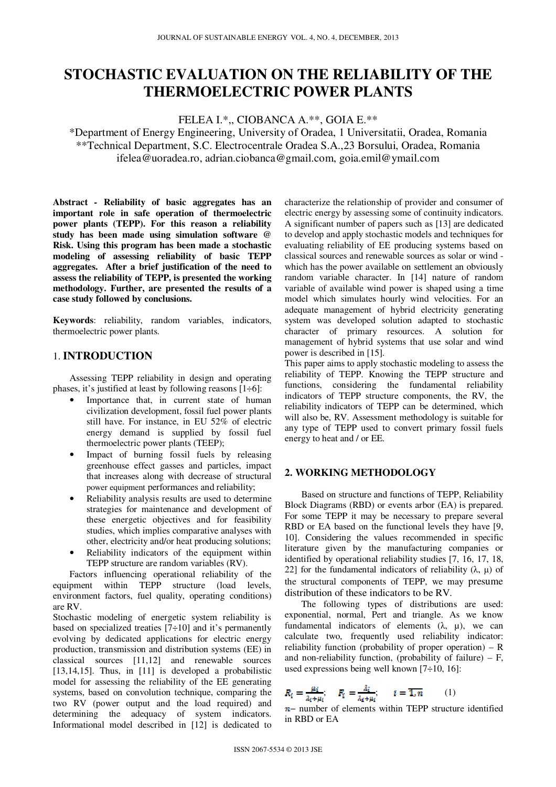# **STOCHASTIC EVALUATION ON THE RELIABILITY OF THE THERMOELECTRIC POWER PLANTS**

FELEA I.\*,, CIOBANCA A.\*\*, GOIA E.\*\*

\*Department of Energy Engineering, University of Oradea, 1 Universitatii, Oradea, Romania \*\*Technical Department, S.C. Electrocentrale Oradea S.A.,23 Borsului, Oradea, Romania ifelea@uoradea.ro, adrian.ciobanca@gmail.com, goia.emil@ymail.com

**Abstract** *-* **Reliability of basic aggregates has an important role in safe operation of thermoelectric power plants (TEPP). For this reason a reliability study has been made using simulation software @ Risk. Using this program has been made a stochastic modeling of assessing reliability of basic TEPP aggregates. After a brief justification of the need to assess the reliability of TEPP, is presented the working methodology. Further, are presented the results of a case study followed by conclusions.** 

**Keywords**: reliability, random variables, indicators, thermoelectric power plants.

## 1. **INTRODUCTION**

 Assessing TEPP reliability in design and operating phases, it's justified at least by following reasons  $[1 \div 6]$ :

- Importance that, in current state of human civilization development, fossil fuel power plants still have. For instance, in EU 52% of electric energy demand is supplied by fossil fuel thermoelectric power plants (TEEP);
- Impact of burning fossil fuels by releasing greenhouse effect gasses and particles, impact that increases along with decrease of structural power equipment performances and reliability;
- Reliability analysis results are used to determine strategies for maintenance and development of these energetic objectives and for feasibility studies, which implies comparative analyses with other, electricity and/or heat producing solutions;
- Reliability indicators of the equipment within TEPP structure are random variables (RV).

 Factors influencing operational reliability of the equipment within TEPP structure (load levels, environment factors, fuel quality, operating conditions) are RV.

Stochastic modeling of energetic system reliability is based on specialized treaties  $[7\div 10]$  and it's permanently evolving by dedicated applications for electric energy production, transmission and distribution systems (EE) in classical sources [11,12] and renewable sources [13,14,15]. Thus, in  $[11]$  is developed a probabilistic model for assessing the reliability of the EE generating systems, based on convolution technique, comparing the two RV (power output and the load required) and determining the adequacy of system indicators. Informational model described in [12] is dedicated to

characterize the relationship of provider and consumer of electric energy by assessing some of continuity indicators. A significant number of papers such as [13] are dedicated to develop and apply stochastic models and techniques for evaluating reliability of EE producing systems based on classical sources and renewable sources as solar or wind which has the power available on settlement an obviously random variable character. In [14] nature of random variable of available wind power is shaped using a time model which simulates hourly wind velocities. For an adequate management of hybrid electricity generating system was developed solution adapted to stochastic character of primary resources. A solution for management of hybrid systems that use solar and wind power is described in [15].

This paper aims to apply stochastic modeling to assess the reliability of TEPP. Knowing the TEPP structure and functions, considering the fundamental reliability indicators of TEPP structure components, the RV, the reliability indicators of TEPP can be determined, which will also be, RV. Assessment methodology is suitable for any type of TEPP used to convert primary fossil fuels energy to heat and / or EE.

## **2. WORKING METHODOLOGY**

Based on structure and functions of TEPP, Reliability Block Diagrams (RBD) or events arbor (EA) is prepared. For some TEPP it may be necessary to prepare several RBD or EA based on the functional levels they have [9, 10]. Considering the values recommended in specific literature given by the manufacturing companies or identified by operational reliability studies [7, 16, 17, 18, 22] for the fundamental indicators of reliability (λ, μ) of the structural components of TEPP, we may presume distribution of these indicators to be RV.

The following types of distributions are used: exponential, normal, Pert and triangle. As we know fundamental indicators of elements  $(\lambda, \mu)$ , we can calculate two, frequently used reliability indicator: reliability function (probability of proper operation)  $- R$ and non-reliability function, (probability of failure)  $- F$ , used expressions being well known [7÷10, 16]:

$$
R_i = \frac{\mu_i}{\lambda_i + \mu_i}; \quad F_i = \frac{\lambda_i}{\lambda_i + \mu_i}; \quad i = \overline{1, n} \quad (1)
$$

n– number of elements within TEPP structure identified in RBD or EA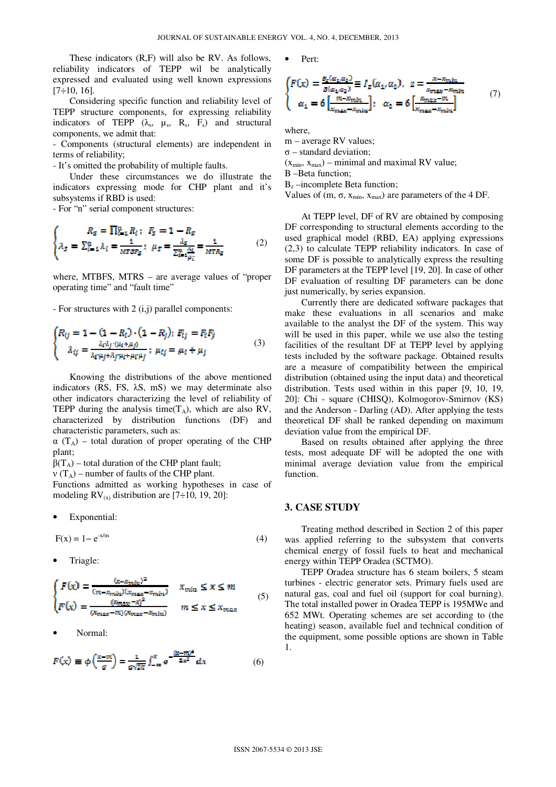These indicators (R,F) will also be RV. As follows, reliability indicators of TEPP wil be analytically expressed and evaluated using well known expressions  $[7\div 10, 16]$ .

 Considering specific function and reliability level of TEPP structure components, for expressing reliability indicators of TEPP  $(\lambda_s, \mu_s, R_s, F_s)$  and structural components, we admit that:

- Components (structural elements) are independent in terms of reliability;

- It's omitted the probability of multiple faults.

 Under these circumstances we do illustrate the indicators expressing mode for CHP plant and it's subsystems if RBD is used:

- For "n" serial component structures:

$$
\begin{cases}\nR_S = \prod_{i=1}^n R_i; \ \ F_S = 1 - R_S \\
\lambda_S = \sum_{i=1}^n \lambda_i = \frac{1}{MTBF_S}; \ \ \mu_S = \frac{\lambda_S}{\sum_{i=1}^n \frac{\lambda_i}{\mu_i}} = \frac{1}{MTR_S} \n\end{cases} (2)
$$

where, MTBFS, MTRS – are average values of "proper operating time" and "fault time"

- For structures with 2 (i,j) parallel components:

$$
\begin{cases}\nR_{ij} = 1 - (1 - R_i) \cdot (1 - R_j); \ F_{ij} = F_i F_j \\
\lambda_{ij} = \frac{\lambda_i \lambda_j \cdot (\mu_i + \mu_j)}{\lambda_{i} \mu_j + \lambda_{j} \mu_{i} + \mu_{i} \mu_{j}}; \ \mu_{ij} = \mu_i + \mu_j\n\end{cases} \tag{3}
$$

 Knowing the distributions of the above mentioned indicators (RS, FS, λS, mS) we may determinate also other indicators characterizing the level of reliability of TEPP during the analysis time( $T_A$ ), which are also RV, characterized by distribution functions (DF) and characteristic parameters, such as:

 $\alpha$  (T<sub>A</sub>) – total duration of proper operating of the CHP plant;

 $β(T_A)$  – total duration of the CHP plant fault;

 $v(T_A)$  – number of faults of the CHP plant.

Functions admitted as working hypotheses in case of modeling  $RV_{(x)}$  distribution are [7÷10, 19, 20]:

Exponential:

$$
F(x) = 1 - e^{-x/m} \tag{4}
$$

• Triagle:

$$
\begin{cases}\nF(x) = \frac{(x - x_{min})^2}{(m - x_{min})(x_{max} - x_{min})} & x_{min} \le x \le m \\
F(x) = \frac{(x_{max} - x)^2}{(x_{max} - m)(x_{max} - x_{min})} & m \le x \le x_{max}\n\end{cases} (5)
$$

• Normal:

$$
F(x) \equiv \phi\left(\frac{x-m}{\sigma}\right) = \frac{1}{\sigma\sqrt{2\pi}} \int_{-\infty}^{x} e^{-\frac{(x-m)^2}{2x^2}} dx \tag{6}
$$

$$
\bullet \quad \text{Pert:}
$$

$$
\begin{cases}\nF(x) = \frac{\partial_z(\alpha_1, \alpha_2)}{\partial(\alpha_1, \alpha_2)} \equiv I_z(\alpha_1, \alpha_2), \quad z = \frac{x - x_{\text{min}}}{x_{\text{max}} - x_{\text{min}}}\n\\
\alpha_1 = 6 \left[ \frac{m - x_{\text{min}}}{x_{\text{max}} - x_{\text{min}}}\right]; \quad \alpha_2 = 6 \left[ \frac{x_{\text{max}} - m}{x_{\text{max}} - x_{\text{min}}}\right]\n\end{cases} (7)
$$

where,

m – average RV values;  $\sigma$  – standard deviation;  $(x_{min}, x_{max})$  – minimal and maximal RV value; B –Beta function; Bz –incomplete Beta function; Values of  $(m, \sigma, x_{min}, x_{max})$  are parameters of the 4 DF.

 At TEPP level, DF of RV are obtained by composing DF corresponding to structural elements according to the used graphical model (RBD, EA) applying expressions (2,3) to calculate TEPP reliability indicators. In case of some DF is possible to analytically express the resulting DF parameters at the TEPP level [19, 20]. In case of other DF evaluation of resulting DF parameters can be done just numerically, by series expansion.

 Currently there are dedicated software packages that make these evaluations in all scenarios and make available to the analyst the DF of the system. This way will be used in this paper, while we use also the testing facilities of the resultant DF at TEPP level by applying tests included by the software package. Obtained results are a measure of compatibility between the empirical distribution (obtained using the input data) and theoretical distribution. Tests used within in this paper [9, 10, 19, 20]: Chi - square (CHISQ), Kolmogorov-Smirnov (KS) and the Anderson - Darling (AD). After applying the tests theoretical DF shall be ranked depending on maximum deviation value from the empirical DF.

Based on results obtained after applying the three tests, most adequate DF will be adopted the one with minimal average deviation value from the empirical function.

#### **3. CASE STUDY**

 Treating method described in Section 2 of this paper was applied referring to the subsystem that converts chemical energy of fossil fuels to heat and mechanical energy within TEPP Oradea (SCTMO).

 TEPP Oradea structure has 6 steam boilers, 5 steam turbines - electric generator sets. Primary fuels used are natural gas, coal and fuel oil (support for coal burning). The total installed power in Oradea TEPP is 195MWe and 652 MWt. Operating schemes are set according to (the heating) season, available fuel and technical condition of the equipment, some possible options are shown in Table 1.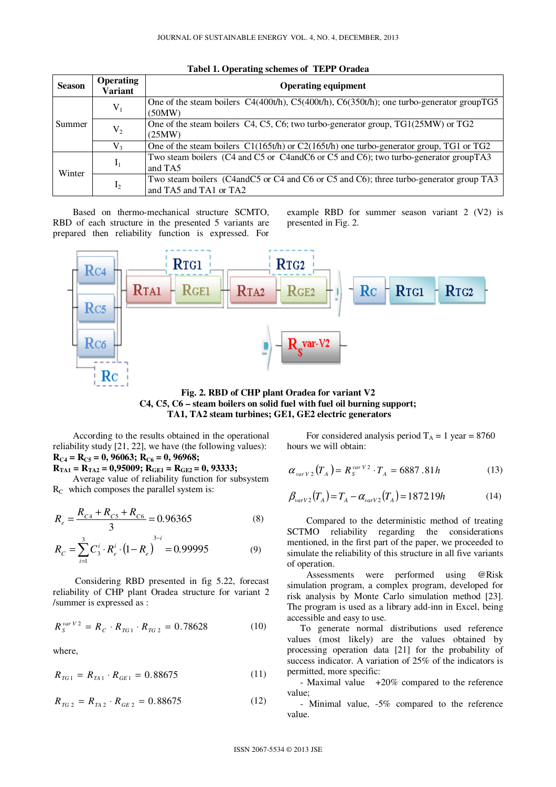| <b>Season</b> | <b>Operating</b><br>Variant | <b>Operating equipment</b>                                                                                         |  |  |
|---------------|-----------------------------|--------------------------------------------------------------------------------------------------------------------|--|--|
| Summer        | $V_1$                       | One of the steam boilers $C4(400t/h)$ , $C5(400t/h)$ , $C6(350t/h)$ ; one turbo-generator group TG5<br>(50MW)      |  |  |
|               | $V_2$                       | One of the steam boilers C4, C5, C6; two turbo-generator group, TG1(25MW) or TG2<br>(25MW)                         |  |  |
|               | V <sub>3</sub>              | One of the steam boilers $C1(165t/h)$ or $C2(165t/h)$ one turbo-generator group, TG1 or TG2                        |  |  |
| Winter        | $I_1$                       | Two steam boilers (C4 and C5 or C4 and C6 or C5 and C6); two turbo-generator group TA3<br>and TA5                  |  |  |
|               | I <sub>2</sub>              | Two steam boilers (C4 and C5 or C4 and C6 or C5 and C6); three turbo-generator group TA3<br>and TA5 and TA1 or TA2 |  |  |

**Tabel 1. Operating schemes of TEPP Oradea** 

Based on thermo-mechanical structure SCMTO, RBD of each structure in the presented 5 variants are prepared then reliability function is expressed. For

example RBD for summer season variant 2 (V2) is presented in Fig. 2.



**Fig. 2. RBD of CHP plant Oradea for variant V2 C4, C5, C6 – steam boilers on solid fuel with fuel oil burning support; TA1, TA2 steam turbines; GE1, GE2 electric generators** 

According to the results obtained in the operational reliability study [21, 22], we have (the following values):  $R_{C4} = R_{C5} = 0$ , 96063;  $R_{C6} = 0$ , 96968;

 $R_{TA1} = R_{TA2} = 0.95009; R_{GE1} = R_{GE2} = 0.93333;$ 

Average value of reliability function for subsystem  $R<sub>C</sub>$  which composes the parallel system is:

$$
R_e = \frac{R_{c4} + R_{c5} + R_{c6}}{3} = 0.96365
$$
 (8)

$$
R_C = \sum_{i=1}^{3} C_3^i \cdot R_e^i \cdot (1 - R_e)^{3-i} = 0.99995 \tag{9}
$$

 Considering RBD presented in fig 5.22, forecast reliability of CHP plant Oradea structure for variant 2 /summer is expressed as :

$$
R_{s}^{\text{var }V2} = R_{c} \cdot R_{TG1} \cdot R_{TG2} = 0.78628 \tag{10}
$$

where,

$$
R_{TG1} = R_{TA1} \cdot R_{GE1} = 0.88675 \tag{11}
$$

$$
R_{TG\,2} = R_{TA\,2} \cdot R_{GE\,2} = 0.88675\tag{12}
$$

For considered analysis period  $T_A = 1$  year = 8760 hours we will obtain:

$$
\alpha_{varV2}(T_A) = R_S^{varV2} \cdot T_A = 6887.81h \tag{13}
$$

$$
\beta_{varV2}(T_A) = T_A - \alpha_{varV2}(T_A) = 187219h \tag{14}
$$

Compared to the deterministic method of treating SCTMO reliability regarding the considerations mentioned, in the first part of the paper, we proceeded to simulate the reliability of this structure in all five variants of operation.

Assessments were performed using @Risk simulation program, a complex program, developed for risk analysis by Monte Carlo simulation method [23]. The program is used as a library add-inn in Excel, being accessible and easy to use.

To generate normal distributions used reference values (most likely) are the values obtained by processing operation data [21] for the probability of success indicator. A variation of 25% of the indicators is permitted, more specific:

- Maximal value +20% compared to the reference value;

- Minimal value, -5% compared to the reference value.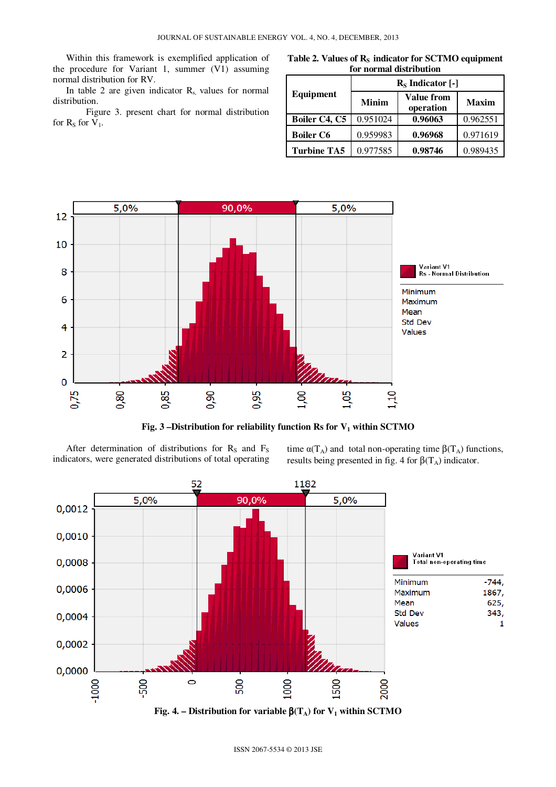Within this framework is exemplified application of the procedure for Variant 1, summer (V1) assuming normal distribution for RV.

In table 2 are given indicator  $R_s$ , values for normal distribution.

Figure 3. present chart for normal distribution for  $R_S$  for  $V_1$ .

Table 2. Values of R<sub>S</sub> indicator for SCTMO equipment **for normal distribution** 

|                    | $R_s$ Indicator [-] |                                |              |  |  |
|--------------------|---------------------|--------------------------------|--------------|--|--|
| Equipment          | <b>Minim</b>        | <b>Value from</b><br>operation | <b>Maxim</b> |  |  |
| Boiler C4, C5      | 0.951024            | 0.96063                        | 0.962551     |  |  |
| <b>Boiler C6</b>   | 0.959983            | 0.96968                        | 0.971619     |  |  |
| <b>Turbine TA5</b> | 0.977585            | 0.98746                        | 0.989435     |  |  |



**Fig. 3 –Distribution for reliability function Rs for V1 within SCTMO** 

After determination of distributions for  $R<sub>S</sub>$  and  $F<sub>S</sub>$ indicators, were generated distributions of total operating

time  $\alpha(T_A)$  and total non-operating time  $\beta(T_A)$  functions, results being presented in fig. 4 for  $\beta(T_A)$  indicator.

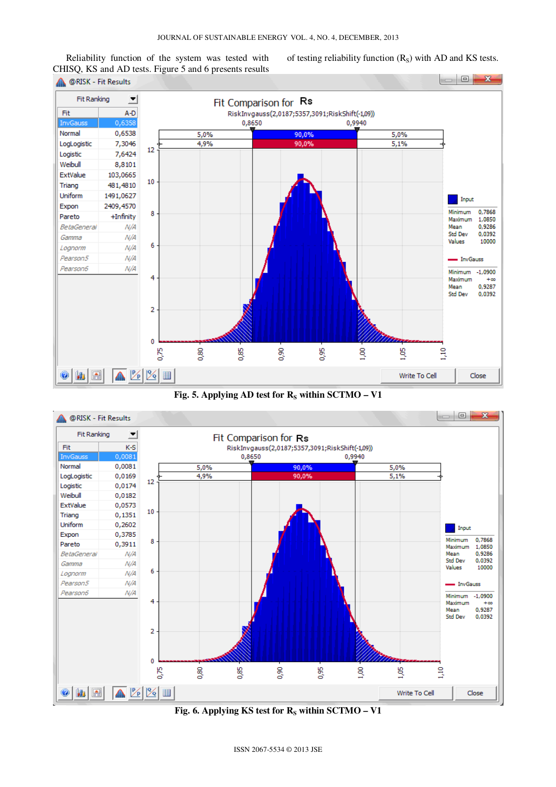Reliability function of the system was tested with CHISQ, KS and AD tests. Figure 5 and 6 presents results of testing reliability function  $(R<sub>S</sub>)$  with AD and KS tests.



**Fig. 5. Applying AD test for**  $R_s$  **within SCTMO – V1** 



Fig. 6. Applying KS test for R<sub>S</sub> within SCTMO – V1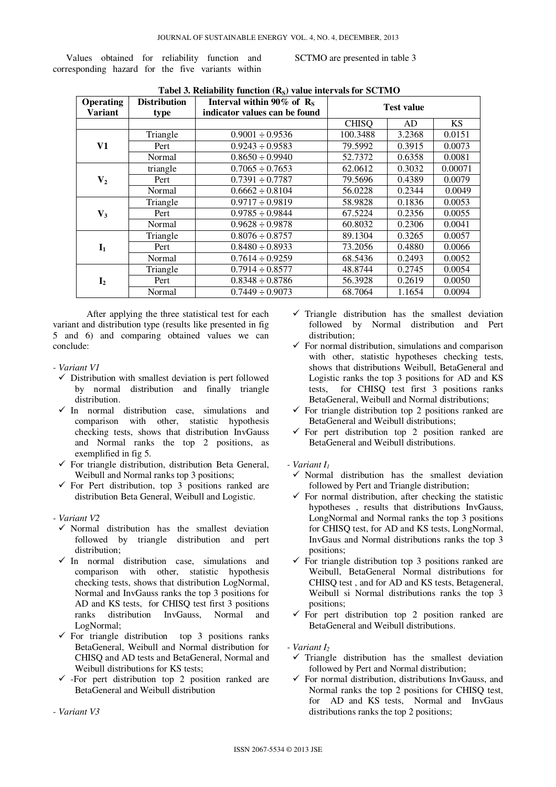Values obtained for reliability function and corresponding hazard for the five variants within

SCTMO are presented in table 3

| Operating<br><b>Variant</b> | <b>Distribution</b><br>type | Interval within 90% of $R_s$<br>indicator values can be found | <b>Test value</b> |        |           |
|-----------------------------|-----------------------------|---------------------------------------------------------------|-------------------|--------|-----------|
|                             |                             |                                                               | <b>CHISQ</b>      | AD     | <b>KS</b> |
|                             | Triangle                    | $0.9001 \div 0.9536$                                          | 100.3488          | 3.2368 | 0.0151    |
| V1                          | Pert                        | $0.9243 \div 0.9583$                                          | 79.5992           | 0.3915 | 0.0073    |
|                             | Normal                      | $0.8650 \div 0.9940$                                          | 52.7372           | 0.6358 | 0.0081    |
|                             | triangle                    | $0.7065 \div 0.7653$                                          | 62.0612           | 0.3032 | 0.00071   |
| $V_{2}$                     | Pert                        | $0.7391 \div 0.7787$                                          | 79.5696           | 0.4389 | 0.0079    |
|                             | Normal                      | $0.6662 \div 0.8104$                                          | 56.0228           | 0.2344 | 0.0049    |
|                             | Triangle                    | $0.9717 \div 0.9819$                                          | 58.9828           | 0.1836 | 0.0053    |
| $V_3$                       | Pert                        | $0.9785 \div 0.9844$                                          | 67.5224           | 0.2356 | 0.0055    |
|                             | Normal                      | $0.9628 \div 0.9878$                                          | 60.8032           | 0.2306 | 0.0041    |
|                             | Triangle                    | $0.8076 \div 0.8757$                                          | 89.1304           | 0.3265 | 0.0057    |
| $I_1$                       | Pert                        | $0.8480 \div 0.8933$                                          | 73.2056           | 0.4880 | 0.0066    |
|                             | Normal                      | $0.7614 \div 0.9259$                                          | 68.5436           | 0.2493 | 0.0052    |
|                             | Triangle                    | $0.7914 \div 0.8577$                                          | 48.8744           | 0.2745 | 0.0054    |
| I <sub>2</sub>              | Pert                        | $0.8348 \div 0.8786$                                          | 56.3928           | 0.2619 | 0.0050    |
|                             | Normal                      | $0.7449 \div 0.9073$                                          | 68.7064           | 1.1654 | 0.0094    |

**Tabel 3. Reliability function (R<sub>c</sub>) value intervals for SCTMO** 

After applying the three statistical test for each variant and distribution type (results like presented in fig 5 and 6) and comparing obtained values we can conclude:

- *Variant V1* 
	- $\checkmark$  Distribution with smallest deviation is pert followed by normal distribution and finally triangle distribution.
	- $\checkmark$  In normal distribution case, simulations and comparison with other, statistic hypothesis checking tests, shows that distribution InvGauss and Normal ranks the top 2 positions, as exemplified in fig 5.
	- $\checkmark$  For triangle distribution, distribution Beta General, Weibull and Normal ranks top 3 positions;
	- $\checkmark$  For Pert distribution, top 3 positions ranked are distribution Beta General, Weibull and Logistic.

## *- Variant V2*

- $\checkmark$  Normal distribution has the smallest deviation followed by triangle distribution and pert distribution;
- $\checkmark$  In normal distribution case, simulations and comparison with other, statistic hypothesis checking tests, shows that distribution LogNormal, Normal and InvGauss ranks the top 3 positions for AD and KS tests, for CHISQ test first 3 positions<br>ranks distribution InvGauss, Normal and ranks distribution InvGauss, Normal and LogNormal;
- $\checkmark$  For triangle distribution top 3 positions ranks BetaGeneral, Weibull and Normal distribution for CHISQ and AD tests and BetaGeneral, Normal and Weibull distributions for KS tests;
- $\checkmark$  -For pert distribution top 2 position ranked are BetaGeneral and Weibull distribution

 $\checkmark$  Triangle distribution has the smallest deviation followed by Normal distribution and Pert distribution;

- $\checkmark$  For normal distribution, simulations and comparison with other, statistic hypotheses checking tests, shows that distributions Weibull, BetaGeneral and Logistic ranks the top 3 positions for AD and KS tests, for CHISQ test first 3 positions ranks BetaGeneral, Weibull and Normal distributions;
- $\checkmark$  For triangle distribution top 2 positions ranked are BetaGeneral and Weibull distributions;
- $\checkmark$  For pert distribution top 2 position ranked are BetaGeneral and Weibull distributions.
- *Variant I<sup>1</sup>* 
	- $\checkmark$  Normal distribution has the smallest deviation followed by Pert and Triangle distribution;
	- $\checkmark$  For normal distribution, after checking the statistic hypotheses , results that distributions InvGauss, LongNormal and Normal ranks the top 3 positions for CHISQ test, for AD and KS tests, LongNormal, InvGaus and Normal distributions ranks the top 3 positions;
	- $\checkmark$  For triangle distribution top 3 positions ranked are Weibull, BetaGeneral Normal distributions for CHISQ test , and for AD and KS tests, Betageneral, Weibull si Normal distributions ranks the top 3 positions;
	- $\checkmark$  For pert distribution top 2 position ranked are BetaGeneral and Weibull distributions.

## *- Variant I<sup>2</sup>*

- $\checkmark$  Triangle distribution has the smallest deviation followed by Pert and Normal distribution;
- $\checkmark$  For normal distribution, distributions InvGauss, and Normal ranks the top 2 positions for CHISQ test, for AD and KS tests, Normal and InvGaus distributions ranks the top 2 positions;